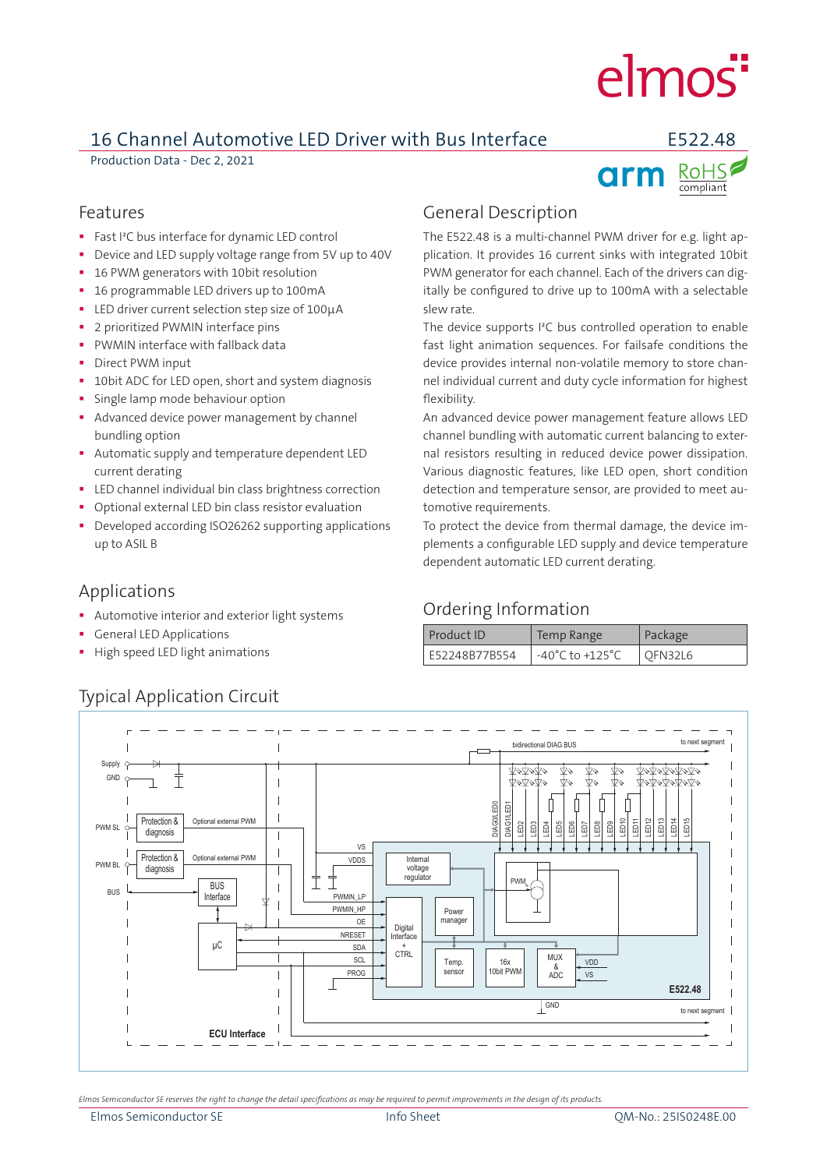# elmos<sup>"</sup>

### 16 Channel Automotive LED Driver with Bus Interface E522.48

Production Data - Dec 2, 2021



#### Features

- **Fast I<sup>2</sup>C** bus interface for dynamic LED control
- Device and LED supply voltage range from 5V up to 40V
- 16 PWM generators with 10bit resolution
- <sup>1</sup> 16 programmable LED drivers up to 100mA
- LED driver current selection step size of 100µA
- 2 prioritized PWMIN interface pins
- PWMIN interface with fallback data
- Direct PWM input
- 10bit ADC for LED open, short and system diagnosis
- Single lamp mode behaviour option
- Advanced device power management by channel bundling option
- Automatic supply and temperature dependent LED current derating
- **LED** channel individual bin class brightness correction
- Optional external LED bin class resistor evaluation
- Developed according ISO26262 supporting applications up to ASIL B

#### Applications

- Automotive interior and exterior light systems
- General LED Applications
- High speed LED light animations

#### General Description

The E522.48 is a multi-channel PWM driver for e.g. light application. It provides 16 current sinks with integrated 10bit PWM generator for each channel. Each of the drivers can digitally be configured to drive up to 100mA with a selectable slew rate.

The device supports I²C bus controlled operation to enable fast light animation sequences. For failsafe conditions the device provides internal non-volatile memory to store channel individual current and duty cycle information for highest flexibility.

An advanced device power management feature allows LED channel bundling with automatic current balancing to external resistors resulting in reduced device power dissipation. Various diagnostic features, like LED open, short condition detection and temperature sensor, are provided to meet automotive requirements.

To protect the device from thermal damage, the device implements a configurable LED supply and device temperature dependent automatic LED current derating.

#### Ordering Information

| Product ID    | Temp Range                          | Package |
|---------------|-------------------------------------|---------|
| E52248B77B554 | $-40^{\circ}$ C to $+125^{\circ}$ C | OFN32L6 |



Typical Application Circuit

*Elmos Semiconductor SE reserves the right to change the detail specifications as may be required to permit improvements in the design of its products.*